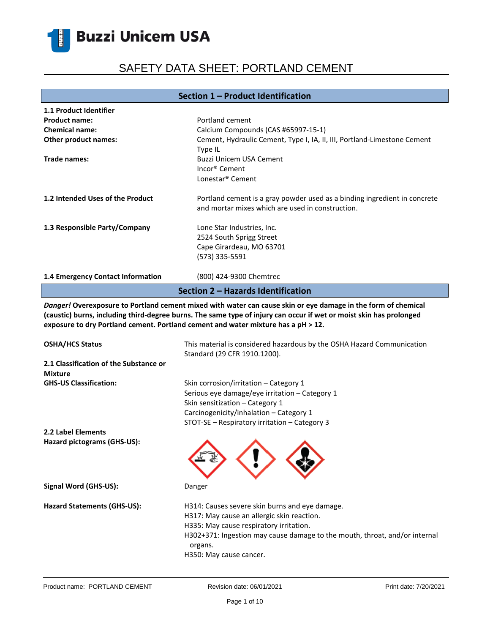È

# SAFETY DATA SHEET: PORTLAND CEMENT

### **Section 1 – Product Identification**

| 1.1 Product Identifier                                                                                                                                                                                                                                                                                                    |                                                                                                                                                                                                                                                             |  |  |
|---------------------------------------------------------------------------------------------------------------------------------------------------------------------------------------------------------------------------------------------------------------------------------------------------------------------------|-------------------------------------------------------------------------------------------------------------------------------------------------------------------------------------------------------------------------------------------------------------|--|--|
| <b>Product name:</b>                                                                                                                                                                                                                                                                                                      | Portland cement                                                                                                                                                                                                                                             |  |  |
| <b>Chemical name:</b>                                                                                                                                                                                                                                                                                                     | Calcium Compounds (CAS #65997-15-1)                                                                                                                                                                                                                         |  |  |
| Other product names:                                                                                                                                                                                                                                                                                                      | Cement, Hydraulic Cement, Type I, IA, II, III, Portland-Limestone Cement                                                                                                                                                                                    |  |  |
|                                                                                                                                                                                                                                                                                                                           | Type IL                                                                                                                                                                                                                                                     |  |  |
| Trade names:                                                                                                                                                                                                                                                                                                              | <b>Buzzi Unicem USA Cement</b>                                                                                                                                                                                                                              |  |  |
|                                                                                                                                                                                                                                                                                                                           | Incor <sup>®</sup> Cement                                                                                                                                                                                                                                   |  |  |
|                                                                                                                                                                                                                                                                                                                           | Lonestar <sup>®</sup> Cement                                                                                                                                                                                                                                |  |  |
|                                                                                                                                                                                                                                                                                                                           |                                                                                                                                                                                                                                                             |  |  |
| 1.2 Intended Uses of the Product                                                                                                                                                                                                                                                                                          | Portland cement is a gray powder used as a binding ingredient in concrete                                                                                                                                                                                   |  |  |
|                                                                                                                                                                                                                                                                                                                           | and mortar mixes which are used in construction.                                                                                                                                                                                                            |  |  |
|                                                                                                                                                                                                                                                                                                                           |                                                                                                                                                                                                                                                             |  |  |
| 1.3 Responsible Party/Company                                                                                                                                                                                                                                                                                             | Lone Star Industries, Inc.                                                                                                                                                                                                                                  |  |  |
|                                                                                                                                                                                                                                                                                                                           | 2524 South Sprigg Street                                                                                                                                                                                                                                    |  |  |
|                                                                                                                                                                                                                                                                                                                           | Cape Girardeau, MO 63701                                                                                                                                                                                                                                    |  |  |
|                                                                                                                                                                                                                                                                                                                           | (573) 335-5591                                                                                                                                                                                                                                              |  |  |
|                                                                                                                                                                                                                                                                                                                           |                                                                                                                                                                                                                                                             |  |  |
| 1.4 Emergency Contact Information                                                                                                                                                                                                                                                                                         | (800) 424-9300 Chemtrec                                                                                                                                                                                                                                     |  |  |
|                                                                                                                                                                                                                                                                                                                           | Section 2 - Hazards Identification                                                                                                                                                                                                                          |  |  |
|                                                                                                                                                                                                                                                                                                                           |                                                                                                                                                                                                                                                             |  |  |
| Danger! Overexposure to Portland cement mixed with water can cause skin or eye damage in the form of chemical<br>(caustic) burns, including third-degree burns. The same type of injury can occur if wet or moist skin has prolonged<br>exposure to dry Portland cement. Portland cement and water mixture has a pH > 12. |                                                                                                                                                                                                                                                             |  |  |
|                                                                                                                                                                                                                                                                                                                           |                                                                                                                                                                                                                                                             |  |  |
| <b>OSHA/HCS Status</b>                                                                                                                                                                                                                                                                                                    | This material is considered hazardous by the OSHA Hazard Communication<br>Standard (29 CFR 1910.1200).                                                                                                                                                      |  |  |
| 2.1 Classification of the Substance or                                                                                                                                                                                                                                                                                    |                                                                                                                                                                                                                                                             |  |  |
|                                                                                                                                                                                                                                                                                                                           |                                                                                                                                                                                                                                                             |  |  |
| <b>Mixture</b><br><b>GHS-US Classification:</b>                                                                                                                                                                                                                                                                           |                                                                                                                                                                                                                                                             |  |  |
|                                                                                                                                                                                                                                                                                                                           | Skin corrosion/irritation - Category 1                                                                                                                                                                                                                      |  |  |
|                                                                                                                                                                                                                                                                                                                           | Serious eye damage/eye irritation - Category 1                                                                                                                                                                                                              |  |  |
|                                                                                                                                                                                                                                                                                                                           | Skin sensitization - Category 1                                                                                                                                                                                                                             |  |  |
|                                                                                                                                                                                                                                                                                                                           | Carcinogenicity/inhalation - Category 1                                                                                                                                                                                                                     |  |  |
|                                                                                                                                                                                                                                                                                                                           | STOT-SE - Respiratory irritation - Category 3                                                                                                                                                                                                               |  |  |
| 2.2 Label Elements                                                                                                                                                                                                                                                                                                        |                                                                                                                                                                                                                                                             |  |  |
| Hazard pictograms (GHS-US):                                                                                                                                                                                                                                                                                               |                                                                                                                                                                                                                                                             |  |  |
| Signal Word (GHS-US):                                                                                                                                                                                                                                                                                                     | Danger                                                                                                                                                                                                                                                      |  |  |
| <b>Hazard Statements (GHS-US):</b>                                                                                                                                                                                                                                                                                        | H314: Causes severe skin burns and eye damage.<br>H317: May cause an allergic skin reaction.<br>H335: May cause respiratory irritation.<br>H302+371: Ingestion may cause damage to the mouth, throat, and/or internal<br>organs.<br>H350: May cause cancer. |  |  |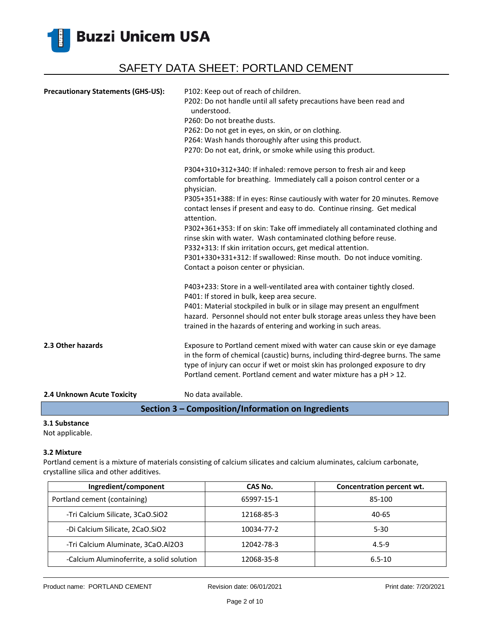

| <b>Precautionary Statements (GHS-US):</b> | P102: Keep out of reach of children.<br>P202: Do not handle until all safety precautions have been read and<br>understood.<br>P260: Do not breathe dusts.<br>P262: Do not get in eyes, on skin, or on clothing.<br>P264: Wash hands thoroughly after using this product.<br>P270: Do not eat, drink, or smoke while using this product.            |
|-------------------------------------------|----------------------------------------------------------------------------------------------------------------------------------------------------------------------------------------------------------------------------------------------------------------------------------------------------------------------------------------------------|
|                                           | P304+310+312+340: If inhaled: remove person to fresh air and keep<br>comfortable for breathing. Immediately call a poison control center or a<br>physician.<br>P305+351+388: If in eyes: Rinse cautiously with water for 20 minutes. Remove<br>contact lenses if present and easy to do. Continue rinsing. Get medical                             |
|                                           | attention.<br>P302+361+353: If on skin: Take off immediately all contaminated clothing and<br>rinse skin with water. Wash contaminated clothing before reuse.<br>P332+313: If skin irritation occurs, get medical attention.<br>P301+330+331+312: If swallowed: Rinse mouth. Do not induce vomiting.<br>Contact a poison center or physician.      |
|                                           | P403+233: Store in a well-ventilated area with container tightly closed.<br>P401: If stored in bulk, keep area secure.<br>P401: Material stockpiled in bulk or in silage may present an engulfment<br>hazard. Personnel should not enter bulk storage areas unless they have been<br>trained in the hazards of entering and working in such areas. |
| 2.3 Other hazards                         | Exposure to Portland cement mixed with water can cause skin or eye damage<br>in the form of chemical (caustic) burns, including third-degree burns. The same<br>type of injury can occur if wet or moist skin has prolonged exposure to dry<br>Portland cement. Portland cement and water mixture has a pH > 12.                                   |
| 2.4 Unknown Acute Toxicity                | No data available.                                                                                                                                                                                                                                                                                                                                 |

### **Section 3 – Composition/Information on Ingredients**

### **3.1 Substance**

Not applicable.

#### **3.2 Mixture**

Portland cement is a mixture of materials consisting of calcium silicates and calcium aluminates, calcium carbonate, crystalline silica and other additives.

| Ingredient/component                      | CAS No.    | Concentration percent wt. |
|-------------------------------------------|------------|---------------------------|
| Portland cement (containing)              | 65997-15-1 | 85-100                    |
| -Tri Calcium Silicate, 3CaO.SiO2          | 12168-85-3 | 40-65                     |
| -Di Calcium Silicate, 2CaO.SiO2           | 10034-77-2 | $5 - 30$                  |
| -Tri Calcium Aluminate, 3CaO.Al2O3        | 12042-78-3 | $4.5 - 9$                 |
| -Calcium Aluminoferrite, a solid solution | 12068-35-8 | $6.5 - 10$                |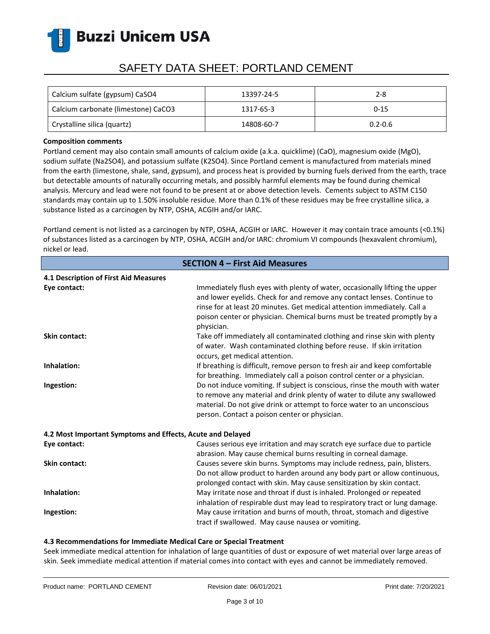

## SAFETY DATA SHEET: PORTLAND CEMENT

| Calcium sulfate (gypsum) CaSO4      | 13397-24-5 | 2-8         |
|-------------------------------------|------------|-------------|
| Calcium carbonate (limestone) CaCO3 | 1317-65-3  | $0 - 15$    |
| Crystalline silica (quartz)         | 14808-60-7 | $0.2 - 0.6$ |

#### **Composition comments**

Portland cement may also contain small amounts of calcium oxide (a.k.a. quicklime) (CaO), magnesium oxide (MgO), sodium sulfate (Na2SO4), and potassium sulfate (K2SO4). Since Portland cement is manufactured from materials mined from the earth (limestone, shale, sand, gypsum), and process heat is provided by burning fuels derived from the earth, trace but detectable amounts of naturally occurring metals, and possibly harmful elements may be found during chemical analysis. Mercury and lead were not found to be present at or above detection levels. Cements subject to ASTM C150 standards may contain up to 1.50% insoluble residue. More than 0.1% of these residues may be free crystalline silica, a substance listed as a carcinogen by NTP, OSHA, ACGIH and/or IARC.

Portland cement is not listed as a carcinogen by NTP, OSHA, ACGIH or IARC. However it may contain trace amounts (<0.1%) of substances listed as a carcinogen by NTP, OSHA, ACGIH and/or IARC: chromium VI compounds (hexavalent chromium), nickel or lead.

| <b>SECTION 4 - First Aid Measures</b>                      |                                                                                                                                                                                                                                                                                                                              |  |
|------------------------------------------------------------|------------------------------------------------------------------------------------------------------------------------------------------------------------------------------------------------------------------------------------------------------------------------------------------------------------------------------|--|
| 4.1 Description of First Aid Measures                      |                                                                                                                                                                                                                                                                                                                              |  |
| Eye contact:                                               | Immediately flush eyes with plenty of water, occasionally lifting the upper<br>and lower eyelids. Check for and remove any contact lenses. Continue to<br>rinse for at least 20 minutes. Get medical attention immediately. Call a<br>poison center or physician. Chemical burns must be treated promptly by a<br>physician. |  |
| <b>Skin contact:</b>                                       | Take off immediately all contaminated clothing and rinse skin with plenty<br>of water. Wash contaminated clothing before reuse. If skin irritation<br>occurs, get medical attention.                                                                                                                                         |  |
| Inhalation:                                                | If breathing is difficult, remove person to fresh air and keep comfortable<br>for breathing. Immediately call a poison control center or a physician.                                                                                                                                                                        |  |
| Ingestion:                                                 | Do not induce vomiting. If subject is conscious, rinse the mouth with water<br>to remove any material and drink plenty of water to dilute any swallowed<br>material. Do not give drink or attempt to force water to an unconscious<br>person. Contact a poison center or physician.                                          |  |
| 4.2 Most Important Symptoms and Effects, Acute and Delayed |                                                                                                                                                                                                                                                                                                                              |  |
| Eye contact:                                               | Causes serious eye irritation and may scratch eye surface due to particle<br>abrasion. May cause chemical burns resulting in corneal damage.                                                                                                                                                                                 |  |
| <b>Skin contact:</b>                                       | Causes severe skin burns. Symptoms may include redness, pain, blisters.<br>Do not allow product to harden around any body part or allow continuous,<br>prolonged contact with skin. May cause sensitization by skin contact.                                                                                                 |  |
| Inhalation:                                                | May irritate nose and throat if dust is inhaled. Prolonged or repeated<br>inhalation of respirable dust may lead to respiratory tract or lung damage.                                                                                                                                                                        |  |
| Ingestion:                                                 | May cause irritation and burns of mouth, throat, stomach and digestive<br>tract if swallowed. May cause nausea or vomiting.                                                                                                                                                                                                  |  |

### **4.3 Recommendations for Immediate Medical Care or Special Treatment**

Seek immediate medical attention for inhalation of large quantities of dust or exposure of wet material over large areas of skin. Seek immediate medical attention if material comes into contact with eyes and cannot be immediately removed.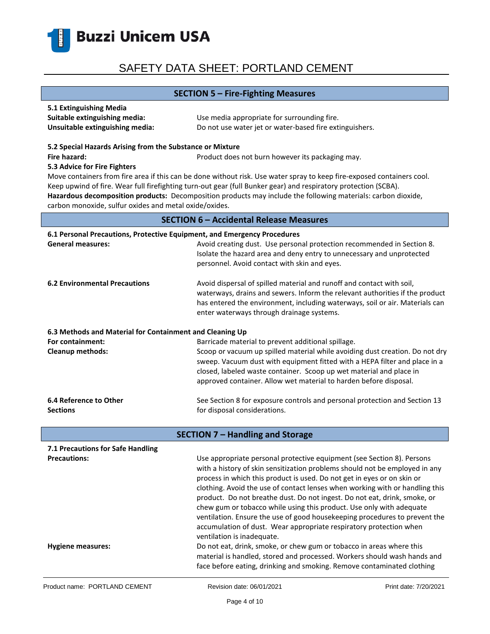

### **SECTION 5 – Fire-Fighting Measures**

| 5.1 Extinguishing Media         |                                                         |
|---------------------------------|---------------------------------------------------------|
| Suitable extinguishing media:   | Use media appropriate for surrounding fire.             |
| Unsuitable extinguishing media: | Do not use water jet or water-based fire extinguishers. |

#### **5.2 Special Hazards Arising from the Substance or Mixture**

**Fire hazard: Product does not burn however its packaging may.** Product does not burn however its packaging may.

#### **5.3 Advice for Fire Fighters**

Move containers from fire area if this can be done without risk. Use water spray to keep fire-exposed containers cool. Keep upwind of fire. Wear full firefighting turn-out gear (full Bunker gear) and respiratory protection (SCBA). **Hazardous decomposition products:** Decomposition products may include the following materials: carbon dioxide, carbon monoxide, sulfur oxides and metal oxide/oxides.

### **SECTION 6 – Accidental Release Measures**

| 6.1 Personal Precautions, Protective Equipment, and Emergency Procedures |                                                                                                                                                                                                                                                                                    |  |
|--------------------------------------------------------------------------|------------------------------------------------------------------------------------------------------------------------------------------------------------------------------------------------------------------------------------------------------------------------------------|--|
| <b>General measures:</b>                                                 | Avoid creating dust. Use personal protection recommended in Section 8.<br>Isolate the hazard area and deny entry to unnecessary and unprotected<br>personnel. Avoid contact with skin and eyes.                                                                                    |  |
| <b>6.2 Environmental Precautions</b>                                     | Avoid dispersal of spilled material and runoff and contact with soil,<br>waterways, drains and sewers. Inform the relevant authorities if the product<br>has entered the environment, including waterways, soil or air. Materials can<br>enter waterways through drainage systems. |  |
| 6.3 Methods and Material for Containment and Cleaning Up                 |                                                                                                                                                                                                                                                                                    |  |
| For containment:                                                         | Barricade material to prevent additional spillage.                                                                                                                                                                                                                                 |  |
| <b>Cleanup methods:</b>                                                  | Scoop or vacuum up spilled material while avoiding dust creation. Do not dry                                                                                                                                                                                                       |  |
|                                                                          | sweep. Vacuum dust with equipment fitted with a HEPA filter and place in a                                                                                                                                                                                                         |  |
|                                                                          | closed, labeled waste container. Scoop up wet material and place in                                                                                                                                                                                                                |  |
|                                                                          | approved container. Allow wet material to harden before disposal.                                                                                                                                                                                                                  |  |
| 6.4 Reference to Other                                                   | See Section 8 for exposure controls and personal protection and Section 13                                                                                                                                                                                                         |  |
| <b>Sections</b>                                                          | for disposal considerations.                                                                                                                                                                                                                                                       |  |
|                                                                          |                                                                                                                                                                                                                                                                                    |  |
|                                                                          | <b>SECTION 7 - Handling and Storage</b>                                                                                                                                                                                                                                            |  |
| 7.1 Precautions for Safe Handling                                        |                                                                                                                                                                                                                                                                                    |  |
| <b>Precautions:</b>                                                      | Use appropriate personal protective equipment (see Section 8). Persons                                                                                                                                                                                                             |  |
|                                                                          | with a history of skin sensitization problems should not be employed in any                                                                                                                                                                                                        |  |
|                                                                          | process in which this product is used. Do not get in eyes or on skin or                                                                                                                                                                                                            |  |
|                                                                          | clothing. Avoid the use of contact lenses when working with or handling this                                                                                                                                                                                                       |  |
|                                                                          | product. Do not breathe dust. Do not ingest. Do not eat, drink, smoke, or                                                                                                                                                                                                          |  |
|                                                                          | chew gum or tobacco while using this product. Use only with adequate                                                                                                                                                                                                               |  |
|                                                                          | ventilation. Ensure the use of good housekeeping procedures to prevent the                                                                                                                                                                                                         |  |

**Hygiene measures:** Do not eat, drink, smoke, or chew gum or tobacco in areas where this

ventilation is inadequate.

accumulation of dust. Wear appropriate respiratory protection when

material is handled, stored and processed. Workers should wash hands and face before eating, drinking and smoking. Remove contaminated clothing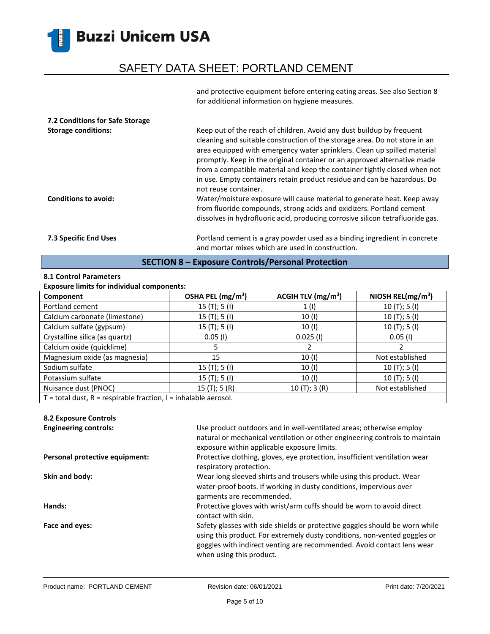## SAFETY DATA SHEET: PORTLAND CEMENT

and protective equipment before entering eating areas. See also Section 8 for additional information on hygiene measures.

| 7.2 Conditions for Safe Storage<br><b>Storage conditions:</b><br><b>Conditions to avoid:</b> | Keep out of the reach of children. Avoid any dust buildup by frequent<br>cleaning and suitable construction of the storage area. Do not store in an<br>area equipped with emergency water sprinklers. Clean up spilled material<br>promptly. Keep in the original container or an approved alternative made<br>from a compatible material and keep the container tightly closed when not<br>in use. Empty containers retain product residue and can be hazardous. Do<br>not reuse container.<br>Water/moisture exposure will cause material to generate heat. Keep away<br>from fluoride compounds, strong acids and oxidizers. Portland cement |
|----------------------------------------------------------------------------------------------|-------------------------------------------------------------------------------------------------------------------------------------------------------------------------------------------------------------------------------------------------------------------------------------------------------------------------------------------------------------------------------------------------------------------------------------------------------------------------------------------------------------------------------------------------------------------------------------------------------------------------------------------------|
|                                                                                              | dissolves in hydrofluoric acid, producing corrosive silicon tetrafluoride gas.                                                                                                                                                                                                                                                                                                                                                                                                                                                                                                                                                                  |
| <b>7.3 Specific End Uses</b>                                                                 | Portland cement is a gray powder used as a binding ingredient in concrete<br>and mortar mixes which are used in construction.                                                                                                                                                                                                                                                                                                                                                                                                                                                                                                                   |

### **SECTION 8 – Exposure Controls/Personal Protection**

### **8.1 Control Parameters**

### **Exposure limits for individual components:**

| Component                                                             | OSHA PEL (mg/m <sup>3</sup> ) | ACGIH TLV (mg/m <sup>3</sup> ) | NIOSH REL(mg/m <sup>3</sup> ) |
|-----------------------------------------------------------------------|-------------------------------|--------------------------------|-------------------------------|
| Portland cement                                                       | 15(T); 5(I)                   | 1(1)                           | 10(T); 5(I)                   |
| Calcium carbonate (limestone)                                         | 15(T); 5(I)                   | 10 (I)                         | 10(T); 5(I)                   |
| Calcium sulfate (gypsum)                                              | 15(T); 5(I)                   | 10(1)                          | 10(T); 5(I)                   |
| Crystalline silica (as quartz)                                        | $0.05$ (I)                    | $0.025$ (I)                    | $0.05$ (I)                    |
| Calcium oxide (quicklime)                                             |                               |                                |                               |
| Magnesium oxide (as magnesia)                                         | 15                            | 10(1)                          | Not established               |
| Sodium sulfate                                                        | 15(T); 5(I)                   | 10(1)                          | 10(T); 5(I)                   |
| Potassium sulfate                                                     | 15(T); 5(I)                   | 10 (I)                         | 10(T); 5(I)                   |
| Nuisance dust (PNOC)                                                  | 15(T); 5(R)                   | 10(T); 3(R)                    | Not established               |
| $T =$ total dust, $R =$ respirable fraction, $I =$ inhalable aerosol. |                               |                                |                               |

### **8.2 Exposure Controls**

| <b>Engineering controls:</b>   | Use product outdoors and in well-ventilated areas; otherwise employ<br>natural or mechanical ventilation or other engineering controls to maintain<br>exposure within applicable exposure limits.                                                              |
|--------------------------------|----------------------------------------------------------------------------------------------------------------------------------------------------------------------------------------------------------------------------------------------------------------|
| Personal protective equipment: | Protective clothing, gloves, eye protection, insufficient ventilation wear<br>respiratory protection.                                                                                                                                                          |
| Skin and body:                 | Wear long sleeved shirts and trousers while using this product. Wear<br>water-proof boots. If working in dusty conditions, impervious over<br>garments are recommended.                                                                                        |
| Hands:                         | Protective gloves with wrist/arm cuffs should be worn to avoid direct<br>contact with skin.                                                                                                                                                                    |
| Face and eyes:                 | Safety glasses with side shields or protective goggles should be worn while<br>using this product. For extremely dusty conditions, non-vented goggles or<br>goggles with indirect venting are recommended. Avoid contact lens wear<br>when using this product. |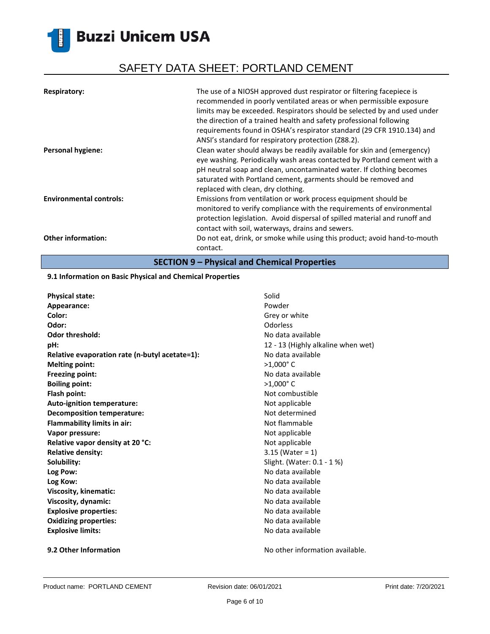# SAFETY DATA SHEET: PORTLAND CEMENT

| <b>Respiratory:</b>            | The use of a NIOSH approved dust respirator or filtering facepiece is<br>recommended in poorly ventilated areas or when permissible exposure<br>limits may be exceeded. Respirators should be selected by and used under<br>the direction of a trained health and safety professional following<br>requirements found in OSHA's respirator standard (29 CFR 1910.134) and<br>ANSI's standard for respiratory protection (Z88.2). |
|--------------------------------|----------------------------------------------------------------------------------------------------------------------------------------------------------------------------------------------------------------------------------------------------------------------------------------------------------------------------------------------------------------------------------------------------------------------------------|
| <b>Personal hygiene:</b>       | Clean water should always be readily available for skin and (emergency)<br>eye washing. Periodically wash areas contacted by Portland cement with a<br>pH neutral soap and clean, uncontaminated water. If clothing becomes<br>saturated with Portland cement, garments should be removed and<br>replaced with clean, dry clothing.                                                                                              |
| <b>Environmental controls:</b> | Emissions from ventilation or work process equipment should be<br>monitored to verify compliance with the requirements of environmental<br>protection legislation. Avoid dispersal of spilled material and runoff and<br>contact with soil, waterways, drains and sewers.                                                                                                                                                        |
| <b>Other information:</b>      | Do not eat, drink, or smoke while using this product; avoid hand-to-mouth<br>contact.                                                                                                                                                                                                                                                                                                                                            |

**SECTION 9 – Physical and Chemical Properties**

### **9.1 Information on Basic Physical and Chemical Properties**

| <b>Physical state:</b>                         | Solid                              |
|------------------------------------------------|------------------------------------|
| Appearance:                                    | Powder                             |
| Color:                                         | Grey or white                      |
| Odor:                                          | Odorless                           |
| <b>Odor threshold:</b>                         | No data available                  |
| pH:                                            | 12 - 13 (Highly alkaline when wet) |
| Relative evaporation rate (n-butyl acetate=1): | No data available                  |
| <b>Melting point:</b>                          | $>1,000$ °C                        |
| Freezing point:                                | No data available                  |
| <b>Boiling point:</b>                          | $>1,000$ °C                        |
| Flash point:                                   | Not combustible                    |
| Auto-ignition temperature:                     | Not applicable                     |
| <b>Decomposition temperature:</b>              | Not determined                     |
| <b>Flammability limits in air:</b>             | Not flammable                      |
| Vapor pressure:                                | Not applicable                     |
| Relative vapor density at 20 °C:               | Not applicable                     |
| <b>Relative density:</b>                       | $3.15$ (Water = 1)                 |
| Solubility:                                    | Slight. (Water: 0.1 - 1 %)         |
| Log Pow:                                       | No data available                  |
| Log Kow:                                       | No data available                  |
| Viscosity, kinematic:                          | No data available                  |
| Viscosity, dynamic:                            | No data available                  |
| <b>Explosive properties:</b>                   | No data available                  |
| <b>Oxidizing properties:</b>                   | No data available                  |
| <b>Explosive limits:</b>                       | No data available                  |
|                                                |                                    |

**9.2 Other Information 19.2 Other Information No other information available.**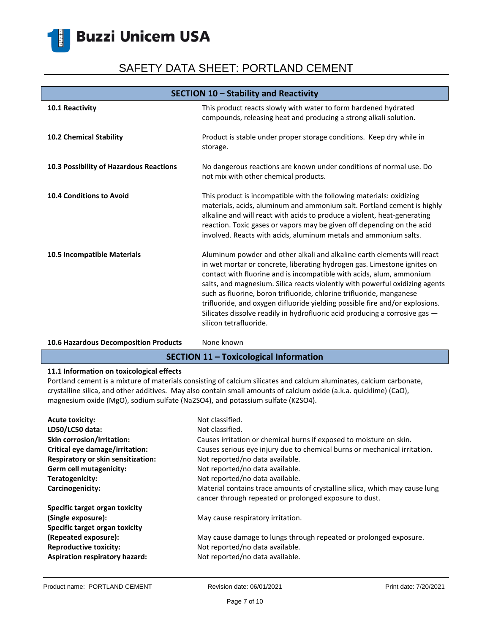# SAFETY DATA SHEET: PORTLAND CEMENT

| SECTION 10 - Stability and Reactivity   |                                                                                                                                                                                                                                                                                                                                                                                                                                                                                                                                                                              |
|-----------------------------------------|------------------------------------------------------------------------------------------------------------------------------------------------------------------------------------------------------------------------------------------------------------------------------------------------------------------------------------------------------------------------------------------------------------------------------------------------------------------------------------------------------------------------------------------------------------------------------|
| 10.1 Reactivity                         | This product reacts slowly with water to form hardened hydrated<br>compounds, releasing heat and producing a strong alkali solution.                                                                                                                                                                                                                                                                                                                                                                                                                                         |
| 10.2 Chemical Stability                 | Product is stable under proper storage conditions. Keep dry while in<br>storage.                                                                                                                                                                                                                                                                                                                                                                                                                                                                                             |
| 10.3 Possibility of Hazardous Reactions | No dangerous reactions are known under conditions of normal use. Do<br>not mix with other chemical products.                                                                                                                                                                                                                                                                                                                                                                                                                                                                 |
| <b>10.4 Conditions to Avoid</b>         | This product is incompatible with the following materials: oxidizing<br>materials, acids, aluminum and ammonium salt. Portland cement is highly<br>alkaline and will react with acids to produce a violent, heat-generating<br>reaction. Toxic gases or vapors may be given off depending on the acid<br>involved. Reacts with acids, aluminum metals and ammonium salts.                                                                                                                                                                                                    |
| 10.5 Incompatible Materials             | Aluminum powder and other alkali and alkaline earth elements will react<br>in wet mortar or concrete, liberating hydrogen gas. Limestone ignites on<br>contact with fluorine and is incompatible with acids, alum, ammonium<br>salts, and magnesium. Silica reacts violently with powerful oxidizing agents<br>such as fluorine, boron trifluoride, chlorine trifluoride, manganese<br>trifluoride, and oxygen difluoride yielding possible fire and/or explosions.<br>Silicates dissolve readily in hydrofluoric acid producing a corrosive gas -<br>silicon tetrafluoride. |

### 10.6 Hazardous Decomposition Products None known

### **SECTION 11 – Toxicological Information**

### **11.1 Information on toxicological effects**

Portland cement is a mixture of materials consisting of calcium silicates and calcium aluminates, calcium carbonate, crystalline silica, and other additives. May also contain small amounts of calcium oxide (a.k.a. quicklime) (CaO), magnesium oxide (MgO), sodium sulfate (Na2SO4), and potassium sulfate (K2SO4).

| <b>Acute toxicity:</b>                | Not classified.                                                                                                                       |
|---------------------------------------|---------------------------------------------------------------------------------------------------------------------------------------|
| LD50/LC50 data:                       | Not classified.                                                                                                                       |
| <b>Skin corrosion/irritation:</b>     | Causes irritation or chemical burns if exposed to moisture on skin.                                                                   |
| Critical eye damage/irritation:       | Causes serious eye injury due to chemical burns or mechanical irritation.                                                             |
| Respiratory or skin sensitization:    | Not reported/no data available.                                                                                                       |
| Germ cell mutagenicity:               | Not reported/no data available.                                                                                                       |
| Teratogenicity:                       | Not reported/no data available.                                                                                                       |
| Carcinogenicity:                      | Material contains trace amounts of crystalline silica, which may cause lung<br>cancer through repeated or prolonged exposure to dust. |
| Specific target organ toxicity        |                                                                                                                                       |
| (Single exposure):                    | May cause respiratory irritation.                                                                                                     |
| Specific target organ toxicity        |                                                                                                                                       |
| (Repeated exposure):                  | May cause damage to lungs through repeated or prolonged exposure.                                                                     |
| <b>Reproductive toxicity:</b>         | Not reported/no data available.                                                                                                       |
| <b>Aspiration respiratory hazard:</b> | Not reported/no data available.                                                                                                       |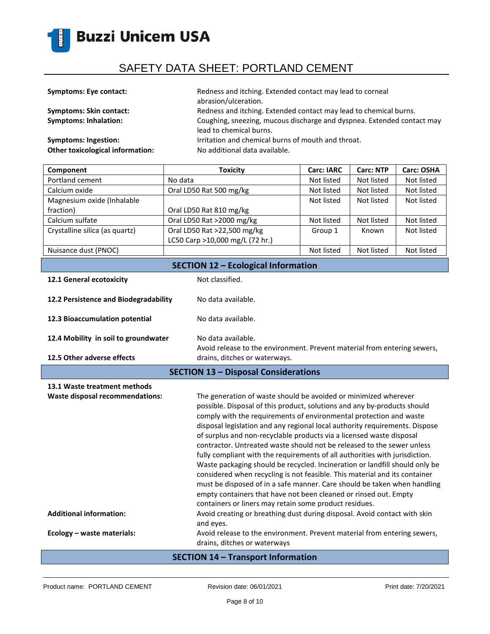

| <b>Symptoms: Eye contact:</b>           | Redness and itching. Extended contact may lead to corneal<br>abrasion/ulceration.                 |
|-----------------------------------------|---------------------------------------------------------------------------------------------------|
| <b>Symptoms: Skin contact:</b>          | Redness and itching. Extended contact may lead to chemical burns.                                 |
| <b>Symptoms: Inhalation:</b>            | Coughing, sneezing, mucous discharge and dyspnea. Extended contact may<br>lead to chemical burns. |
| <b>Symptoms: Ingestion:</b>             | Irritation and chemical burns of mouth and throat.                                                |
| <b>Other toxicological information:</b> | No additional data available.                                                                     |

| Component                                  | <b>Toxicity</b>                 | <b>Carc: IARC</b> | <b>Carc: NTP</b> | <b>Carc: OSHA</b> |
|--------------------------------------------|---------------------------------|-------------------|------------------|-------------------|
| Portland cement                            | No data                         | Not listed        | Not listed       | Not listed        |
| Calcium oxide                              | Oral LD50 Rat 500 mg/kg         | Not listed        | Not listed       | Not listed        |
| Magnesium oxide (Inhalable                 |                                 | Not listed        | Not listed       | Not listed        |
| fraction)                                  | Oral LD50 Rat 810 mg/kg         |                   |                  |                   |
| Calcium sulfate                            | Oral LD50 Rat >2000 mg/kg       | Not listed        | Not listed       | Not listed        |
| Crystalline silica (as quartz)             | Oral LD50 Rat >22,500 mg/kg     | Group 1           | Known            | Not listed        |
|                                            | LC50 Carp >10,000 mg/L (72 hr.) |                   |                  |                   |
| Nuisance dust (PNOC)                       |                                 | Not listed        | Not listed       | Not listed        |
| <b>SECTION 12 - Ecological Information</b> |                                 |                   |                  |                   |

| 12.1 General ecotoxicity                    | Not classified.                                                                                |
|---------------------------------------------|------------------------------------------------------------------------------------------------|
| 12.2 Persistence and Biodegradability       | No data available.                                                                             |
| 12.3 Bioaccumulation potential              | No data available.                                                                             |
| 12.4 Mobility in soil to groundwater        | No data available.<br>Avoid release to the environment. Prevent material from entering sewers, |
| 12.5 Other adverse effects                  | drains, ditches or waterways.                                                                  |
| <b>SECTION 13 - Disposal Considerations</b> |                                                                                                |

| 13.1 Waste treatment methods<br>Waste disposal recommendations: | The generation of waste should be avoided or minimized wherever<br>possible. Disposal of this product, solutions and any by-products should<br>comply with the requirements of environmental protection and waste<br>disposal legislation and any regional local authority requirements. Dispose<br>of surplus and non-recyclable products via a licensed waste disposal<br>contractor. Untreated waste should not be released to the sewer unless<br>fully compliant with the requirements of all authorities with jurisdiction.<br>Waste packaging should be recycled. Incineration or landfill should only be<br>considered when recycling is not feasible. This material and its container<br>must be disposed of in a safe manner. Care should be taken when handling<br>empty containers that have not been cleaned or rinsed out. Empty |
|-----------------------------------------------------------------|------------------------------------------------------------------------------------------------------------------------------------------------------------------------------------------------------------------------------------------------------------------------------------------------------------------------------------------------------------------------------------------------------------------------------------------------------------------------------------------------------------------------------------------------------------------------------------------------------------------------------------------------------------------------------------------------------------------------------------------------------------------------------------------------------------------------------------------------|
| <b>Additional information:</b>                                  | containers or liners may retain some product residues.<br>Avoid creating or breathing dust during disposal. Avoid contact with skin<br>and eyes.                                                                                                                                                                                                                                                                                                                                                                                                                                                                                                                                                                                                                                                                                               |
| Ecology - waste materials:                                      | Avoid release to the environment. Prevent material from entering sewers,<br>drains, ditches or waterways                                                                                                                                                                                                                                                                                                                                                                                                                                                                                                                                                                                                                                                                                                                                       |

### **SECTION 14 – Transport Information**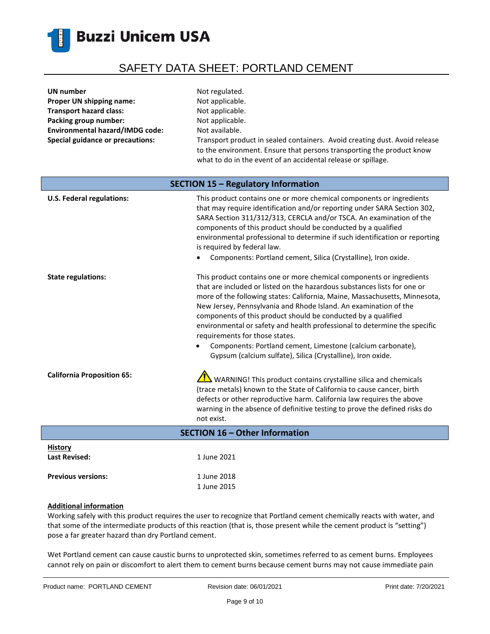

| UN number                               | Not regulated.                                                                                                                                                                                                       |
|-----------------------------------------|----------------------------------------------------------------------------------------------------------------------------------------------------------------------------------------------------------------------|
| Proper UN shipping name:                | Not applicable.                                                                                                                                                                                                      |
| <b>Transport hazard class:</b>          | Not applicable.                                                                                                                                                                                                      |
| Packing group number:                   | Not applicable.                                                                                                                                                                                                      |
| <b>Environmental hazard/IMDG code:</b>  | Not available.                                                                                                                                                                                                       |
| <b>Special guidance or precautions:</b> | Transport product in sealed containers. Avoid creating dust. Avoid release<br>to the environment. Ensure that persons transporting the product know<br>what to do in the event of an accidental release or spillage. |
| SECTION 15 - Regulatory Information     |                                                                                                                                                                                                                      |

| <b>U.S. Federal regulations:</b>       | This product contains one or more chemical components or ingredients<br>that may require identification and/or reporting under SARA Section 302,<br>SARA Section 311/312/313, CERCLA and/or TSCA. An examination of the<br>components of this product should be conducted by a qualified<br>environmental professional to determine if such identification or reporting<br>is required by federal law.<br>Components: Portland cement, Silica (Crystalline), Iron oxide.                                                                                                                                         |
|----------------------------------------|------------------------------------------------------------------------------------------------------------------------------------------------------------------------------------------------------------------------------------------------------------------------------------------------------------------------------------------------------------------------------------------------------------------------------------------------------------------------------------------------------------------------------------------------------------------------------------------------------------------|
| <b>State regulations:</b>              | This product contains one or more chemical components or ingredients<br>that are included or listed on the hazardous substances lists for one or<br>more of the following states: California, Maine, Massachusetts, Minnesota,<br>New Jersey, Pennsylvania and Rhode Island. An examination of the<br>components of this product should be conducted by a qualified<br>environmental or safety and health professional to determine the specific<br>requirements for those states.<br>Components: Portland cement, Limestone (calcium carbonate),<br>Gypsum (calcium sulfate), Silica (Crystalline), Iron oxide. |
| <b>California Proposition 65:</b>      | WARNING! This product contains crystalline silica and chemicals<br>(trace metals) known to the State of California to cause cancer, birth<br>defects or other reproductive harm. California law requires the above<br>warning in the absence of definitive testing to prove the defined risks do<br>not exist.                                                                                                                                                                                                                                                                                                   |
|                                        | <b>SECTION 16 - Other Information</b>                                                                                                                                                                                                                                                                                                                                                                                                                                                                                                                                                                            |
| <b>History</b><br><b>Last Revised:</b> | 1 June 2021                                                                                                                                                                                                                                                                                                                                                                                                                                                                                                                                                                                                      |

### **Additional information**

Previous versions: 1 June 2018

Working safely with this product requires the user to recognize that Portland cement chemically reacts with water, and that some of the intermediate products of this reaction (that is, those present while the cement product is "setting") pose a far greater hazard than dry Portland cement.

1 June 2015

Wet Portland cement can cause caustic burns to unprotected skin, sometimes referred to as cement burns. Employees cannot rely on pain or discomfort to alert them to cement burns because cement burns may not cause immediate pain